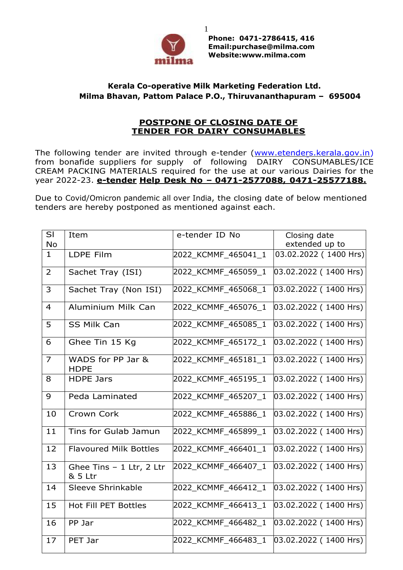

**Phone: 0471-2786415, 416 Email[:purchase@milma.com](mailto:purchase@milma.com) Website[:www.milma.com](http://www.milma.com/)**

## **Kerala Co-operative Milk Marketing Federation Ltd. Milma Bhavan, Pattom Palace P.O., Thiruvananthapuram – 695004**

1

## **POSTPONE OF CLOSING DATE OF TENDER FOR DAIRY CONSUMABLES**

The following tender are invited through e-tender [\(www.etenders.kerala.gov.in\)](http://www.etenders.kerala.gov.in/) from bonafide suppliers for supply of following DAIRY CONSUMABLES/ICE CREAM PACKING MATERIALS required for the use at our various Dairies for the year 2022-23. **e-tender Help Desk No – 0471-2577088, 0471-25577188.**

Due to Covid/Omicron pandemic all over India, the closing date of below mentioned tenders are hereby postponed as mentioned against each.

| <b>SI</b><br>No | Item                                 | e-tender ID No      | Closing date<br>extended up to |
|-----------------|--------------------------------------|---------------------|--------------------------------|
| $\mathbf{1}$    | LDPE Film                            | 2022 KCMMF 465041 1 | 03.02.2022 (1400 Hrs)          |
| 2               | Sachet Tray (ISI)                    | 2022 KCMMF 465059 1 | 03.02.2022 (1400 Hrs)          |
| 3               | Sachet Tray (Non ISI)                | 2022 KCMMF 465068 1 | 03.02.2022 (1400 Hrs)          |
| $\overline{4}$  | Aluminium Milk Can                   | 2022_KCMMF_465076_1 | 03.02.2022 (1400 Hrs)          |
| 5               | <b>SS Milk Can</b>                   | 2022 KCMMF 465085 1 | 03.02.2022 (1400 Hrs)          |
| 6               | Ghee Tin 15 Kg                       | 2022 KCMMF 465172 1 | 03.02.2022 (1400 Hrs)          |
| $\overline{7}$  | WADS for PP Jar &<br><b>HDPE</b>     | 2022 KCMMF 465181 1 | 03.02.2022 (1400 Hrs)          |
| 8               | <b>HDPE Jars</b>                     | 2022_KCMMF_465195_1 | 03.02.2022 (1400 Hrs)          |
| 9               | Peda Laminated                       | 2022_KCMMF_465207_1 | 03.02.2022 (1400 Hrs)          |
| 10              | Crown Cork                           | 2022_KCMMF_465886_1 | 03.02.2022 (1400 Hrs)          |
| 11              | Tins for Gulab Jamun                 | 2022 KCMMF 465899 1 | 03.02.2022 (1400 Hrs)          |
| 12              | <b>Flavoured Milk Bottles</b>        | 2022 KCMMF 466401_1 | 03.02.2022 (1400 Hrs)          |
| 13              | Ghee Tins $-1$ Ltr, 2 Ltr<br>& 5 Ltr | 2022 KCMMF 466407 1 | 03.02.2022 (1400 Hrs)          |
| 14              | Sleeve Shrinkable                    | 2022_KCMMF_466412_1 | 03.02.2022 (1400 Hrs)          |
| 15              | <b>Hot Fill PET Bottles</b>          | 2022_KCMMF_466413_1 | 03.02.2022 (1400 Hrs)          |
| 16              | PP Jar                               | 2022_KCMMF_466482_1 | 03.02.2022 (1400 Hrs)          |
| 17              | PET Jar                              | 2022 KCMMF 466483 1 | 03.02.2022 (1400 Hrs)          |